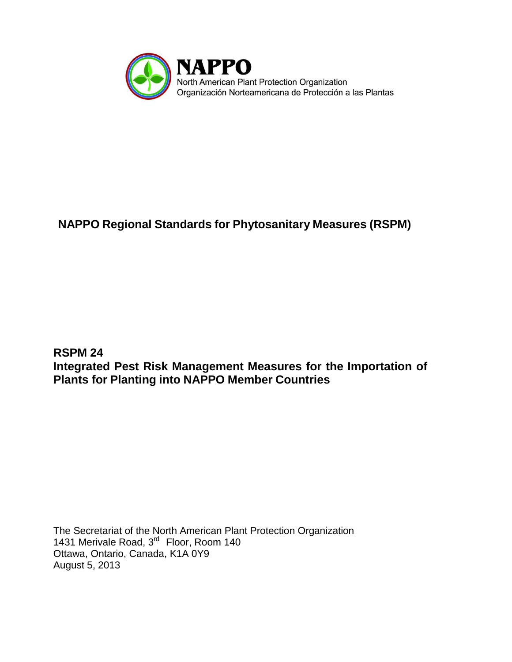

# **NAPPO Regional Standards for Phytosanitary Measures (RSPM)**

**RSPM 24 Integrated Pest Risk Management Measures for the Importation of Plants for Planting into NAPPO Member Countries**

The Secretariat of the North American Plant Protection Organization 1431 Merivale Road, 3<sup>rd</sup> Floor, Room 140 Ottawa, Ontario, Canada, K1A 0Y9 August 5, 2013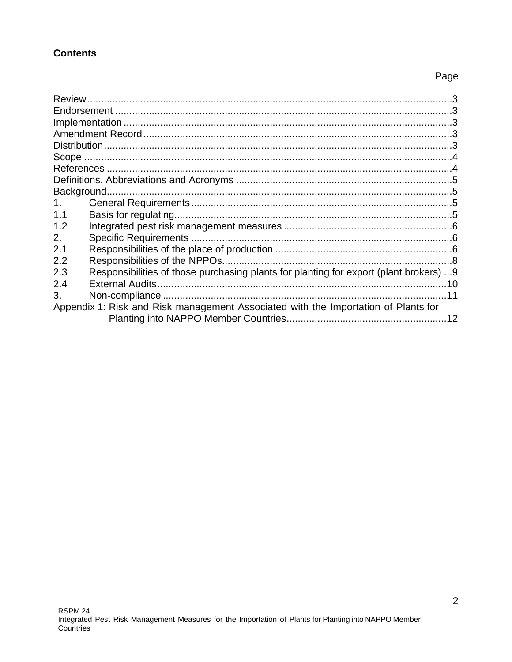### **Contents**

## Page

| 1.                                                                                 |                                                                                        |     |  |
|------------------------------------------------------------------------------------|----------------------------------------------------------------------------------------|-----|--|
| 1.1                                                                                |                                                                                        |     |  |
| 1.2                                                                                |                                                                                        |     |  |
| 2.                                                                                 |                                                                                        |     |  |
| 2.1                                                                                |                                                                                        |     |  |
| 2.2                                                                                |                                                                                        |     |  |
| 2.3                                                                                | Responsibilities of those purchasing plants for planting for export (plant brokers)  9 |     |  |
| 2.4                                                                                |                                                                                        |     |  |
| 3.                                                                                 |                                                                                        | 11  |  |
| Appendix 1: Risk and Risk management Associated with the Importation of Plants for |                                                                                        |     |  |
|                                                                                    |                                                                                        | .12 |  |
|                                                                                    |                                                                                        |     |  |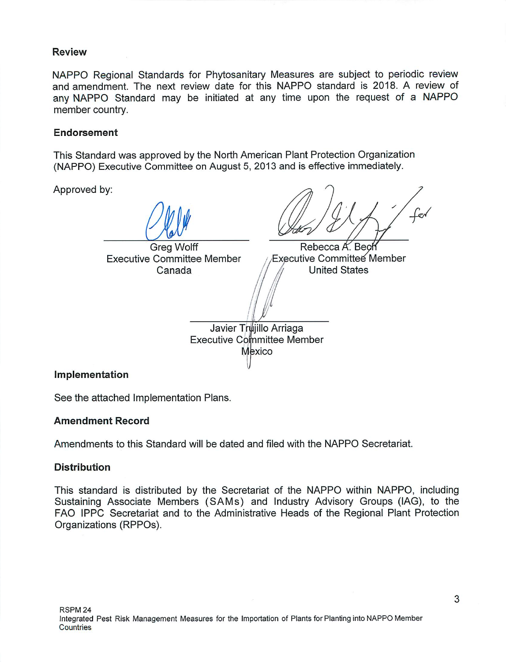#### **Review**

NAPPO Regional Standards for Phytosanitary Measures are subject to periodic review and amendment. The next review date for this NAPPO standard is 2018. A review of any NAPPO Standard may be initiated at any time upon the request of a NAPPO member country.

### Endorsement

This Standard was approved by the North American Plant Protection Organization (NAPPO) Executive Committee on August 5, 2013 and is effective immediately.

Approved by:

**Greg Wolff** Rebecca A. Bech **Executive Committee Member** Executive Committee Member **United States** Canada Javier Trujillo Arriaga **Executive Committee Member Mexico** 

#### Implementation

See the attached Implementation Plans.

### **Amendment Record**

Amendments to this Standard will be dated and filed with the NAPPO Secretariat.

#### **Distribution**

This standard is distributed by the Secretariat of the NAPPO within NAPPO, including Sustaining Associate Members (SAMs) and Industry Advisory Groups (IAG), to the FAO IPPC Secretariat and to the Administrative Heads of the Regional Plant Protection Organizations (RPPOs).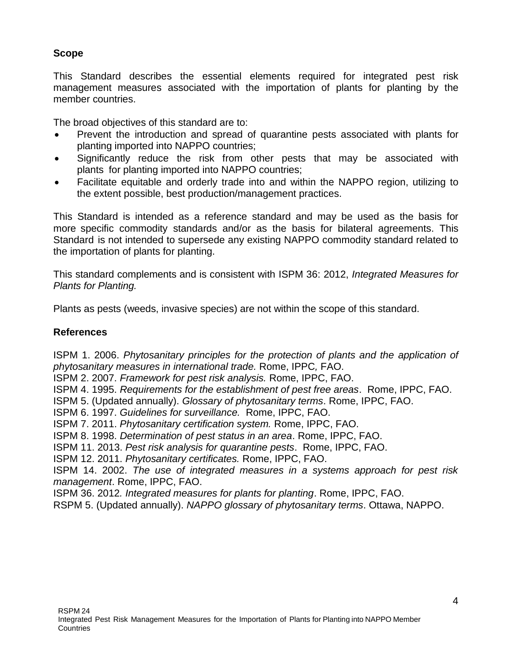### **Scope**

This Standard describes the essential elements required for integrated pest risk management measures associated with the importation of plants for planting by the member countries.

The broad objectives of this standard are to:

- Prevent the introduction and spread of quarantine pests associated with plants for planting imported into NAPPO countries;
- Significantly reduce the risk from other pests that may be associated with plants for planting imported into NAPPO countries;
- Facilitate equitable and orderly trade into and within the NAPPO region, utilizing to the extent possible, best production/management practices.

This Standard is intended as a reference standard and may be used as the basis for more specific commodity standards and/or as the basis for bilateral agreements. This Standard is not intended to supersede any existing NAPPO commodity standard related to the importation of plants for planting.

This standard complements and is consistent with ISPM 36: 2012, *Integrated Measures for Plants for Planting.*

Plants as pests (weeds, invasive species) are not within the scope of this standard.

### **References**

ISPM 1. 2006. *Phytosanitary principles for the protection of plants and the application of phytosanitary measures in international trade.* Rome, IPPC*,* FAO.

ISPM 2. 2007. *Framework for pest risk analysis.* Rome, IPPC, FAO.

ISPM 4. 1995. *Requirements for the establishment of pest free areas*. Rome, IPPC, FAO.

- ISPM 5. (Updated annually). *Glossary of phytosanitary terms*. Rome, IPPC, FAO.
- ISPM 6. 1997. *Guidelines for surveillance.* Rome, IPPC, FAO.
- ISPM 7. 2011. *Phytosanitary certification system.* Rome, IPPC, FAO.

ISPM 8. 1998. *Determination of pest status in an area*. Rome, IPPC, FAO.

ISPM 11. 2013. *Pest risk analysis for quarantine pests*. Rome, IPPC, FAO.

ISPM 12. 2011. *Phytosanitary certificates.* Rome, IPPC, FAO.

ISPM 14. 2002. *The use of integrated measures in a systems approach for pest risk management*. Rome, IPPC, FAO.

ISPM 36. 2012*. Integrated measures for plants for planting*. Rome, IPPC, FAO.

RSPM 5. (Updated annually). *NAPPO glossary of phytosanitary terms*. Ottawa, NAPPO.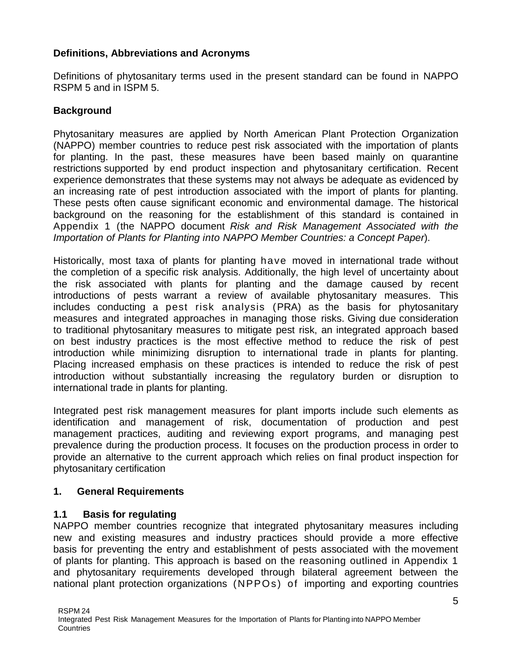### **Definitions, Abbreviations and Acronyms**

Definitions of phytosanitary terms used in the present standard can be found in NAPPO RSPM 5 and in ISPM 5.

### **Background**

Phytosanitary measures are applied by North American Plant Protection Organization (NAPPO) member countries to reduce pest risk associated with the importation of plants for planting. In the past, these measures have been based mainly on quarantine restrictions supported by end product inspection and phytosanitary certification. Recent experience demonstrates that these systems may not always be adequate as evidenced by an increasing rate of pest introduction associated with the import of plants for planting. These pests often cause significant economic and environmental damage. The historical background on the reasoning for the establishment of this standard is contained in Appendix 1 (the NAPPO document *Risk and Risk Management Associated with the Importation of Plants for Planting into NAPPO Member Countries: a Concept Paper*).

Historically, most taxa of plants for planting have moved in international trade without the completion of a specific risk analysis. Additionally, the high level of uncertainty about the risk associated with plants for planting and the damage caused by recent introductions of pests warrant a review of available phytosanitary measures. This includes conducting a pest risk analysis (PRA) as the basis for phytosanitary measures and integrated approaches in managing those risks. Giving due consideration to traditional phytosanitary measures to mitigate pest risk, an integrated approach based on best industry practices is the most effective method to reduce the risk of pest introduction while minimizing disruption to international trade in plants for planting. Placing increased emphasis on these practices is intended to reduce the risk of pest introduction without substantially increasing the regulatory burden or disruption to international trade in plants for planting.

Integrated pest risk management measures for plant imports include such elements as identification and management of risk, documentation of production and pest management practices, auditing and reviewing export programs, and managing pest prevalence during the production process. It focuses on the production process in order to provide an alternative to the current approach which relies on final product inspection for phytosanitary certification

#### **1. General Requirements**

#### **1.1 Basis for regulating**

NAPPO member countries recognize that integrated phytosanitary measures including new and existing measures and industry practices should provide a more effective basis for preventing the entry and establishment of pests associated with the movement of plants for planting. This approach is based on the reasoning outlined in Appendix 1 and phytosanitary requirements developed through bilateral agreement between the national plant protection organizations (NPPOs) of importing and exporting countries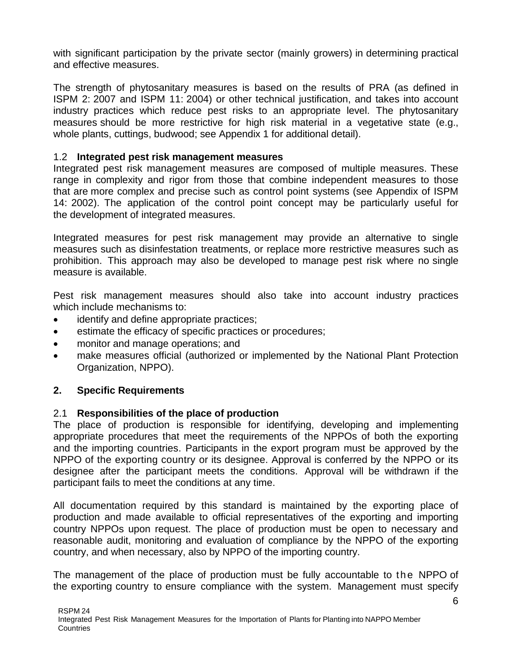with significant participation by the private sector (mainly growers) in determining practical and effective measures.

The strength of phytosanitary measures is based on the results of PRA (as defined in ISPM 2: 2007 and ISPM 11: 2004) or other technical justification, and takes into account industry practices which reduce pest risks to an appropriate level. The phytosanitary measures should be more restrictive for high risk material in a vegetative state (e.g., whole plants, cuttings, budwood; see Appendix 1 for additional detail).

### 1.2 **Integrated pest risk management measures**

Integrated pest risk management measures are composed of multiple measures. These range in complexity and rigor from those that combine independent measures to those that are more complex and precise such as control point systems (see Appendix of ISPM 14: 2002). The application of the control point concept may be particularly useful for the development of integrated measures.

Integrated measures for pest risk management may provide an alternative to single measures such as disinfestation treatments, or replace more restrictive measures such as prohibition. This approach may also be developed to manage pest risk where no single measure is available.

Pest risk management measures should also take into account industry practices which include mechanisms to:

- identify and define appropriate practices;
- estimate the efficacy of specific practices or procedures;
- monitor and manage operations; and
- make measures official (authorized or implemented by the National Plant Protection Organization, NPPO).

### **2. Specific Requirements**

#### 2.1 **Responsibilities of the place of production**

The place of production is responsible for identifying, developing and implementing appropriate procedures that meet the requirements of the NPPOs of both the exporting and the importing countries. Participants in the export program must be approved by the NPPO of the exporting country or its designee. Approval is conferred by the NPPO or its designee after the participant meets the conditions. Approval will be withdrawn if the participant fails to meet the conditions at any time.

All documentation required by this standard is maintained by the exporting place of production and made available to official representatives of the exporting and importing country NPPOs upon request. The place of production must be open to necessary and reasonable audit, monitoring and evaluation of compliance by the NPPO of the exporting country, and when necessary, also by NPPO of the importing country.

The management of the place of production must be fully accountable to the NPPO of the exporting country to ensure compliance with the system. Management must specify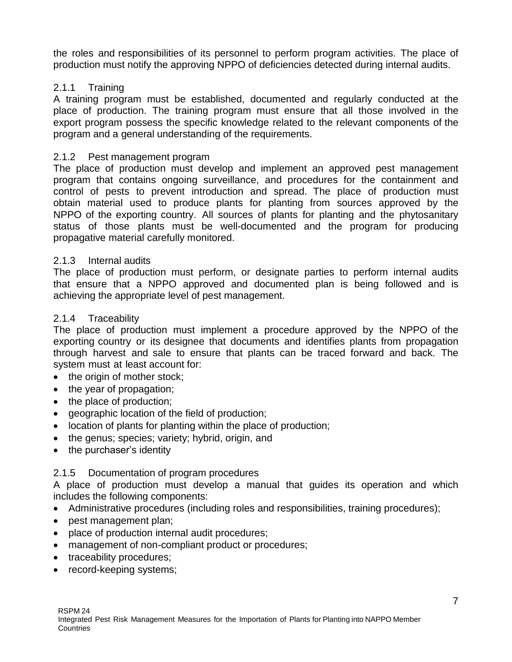the roles and responsibilities of its personnel to perform program activities. The place of production must notify the approving NPPO of deficiencies detected during internal audits.

### 2.1.1 Training

A training program must be established, documented and regularly conducted at the place of production. The training program must ensure that all those involved in the export program possess the specific knowledge related to the relevant components of the program and a general understanding of the requirements.

### 2.1.2 Pest management program

The place of production must develop and implement an approved pest management program that contains ongoing surveillance, and procedures for the containment and control of pests to prevent introduction and spread. The place of production must obtain material used to produce plants for planting from sources approved by the NPPO of the exporting country. All sources of plants for planting and the phytosanitary status of those plants must be well-documented and the program for producing propagative material carefully monitored.

### 2.1.3 Internal audits

The place of production must perform, or designate parties to perform internal audits that ensure that a NPPO approved and documented plan is being followed and is achieving the appropriate level of pest management.

#### 2.1.4 Traceability

The place of production must implement a procedure approved by the NPPO of the exporting country or its designee that documents and identifies plants from propagation through harvest and sale to ensure that plants can be traced forward and back. The system must at least account for:

- the origin of mother stock;
- the year of propagation;
- the place of production;
- geographic location of the field of production;
- location of plants for planting within the place of production;
- the genus; species; variety; hybrid, origin, and
- the purchaser's identity

### 2.1.5 Documentation of program procedures

A place of production must develop a manual that guides its operation and which includes the following components:

- Administrative procedures (including roles and responsibilities, training procedures);
- pest management plan;
- place of production internal audit procedures;
- management of non-compliant product or procedures;
- traceability procedures;
- record-keeping systems;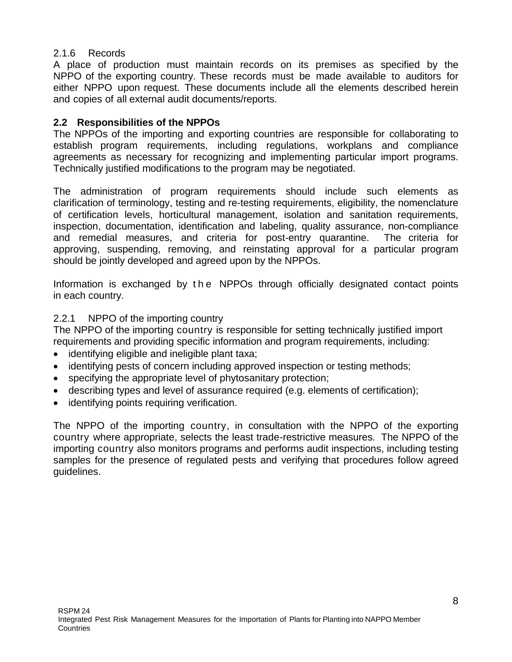### 2.1.6 Records

A place of production must maintain records on its premises as specified by the NPPO of the exporting country. These records must be made available to auditors for either NPPO upon request. These documents include all the elements described herein and copies of all external audit documents/reports.

### **2.2 Responsibilities of the NPPOs**

The NPPOs of the importing and exporting countries are responsible for collaborating to establish program requirements, including regulations, workplans and compliance agreements as necessary for recognizing and implementing particular import programs. Technically justified modifications to the program may be negotiated.

The administration of program requirements should include such elements as clarification of terminology, testing and re-testing requirements, eligibility, the nomenclature of certification levels, horticultural management, isolation and sanitation requirements, inspection, documentation, identification and labeling, quality assurance, non-compliance and remedial measures, and criteria for post-entry quarantine. The criteria for approving, suspending, removing, and reinstating approval for a particular program should be jointly developed and agreed upon by the NPPOs.

Information is exchanged by the NPPOs through officially designated contact points in each country.

### 2.2.1 NPPO of the importing country

The NPPO of the importing country is responsible for setting technically justified import requirements and providing specific information and program requirements, including:

- identifying eligible and ineligible plant taxa;
- identifying pests of concern including approved inspection or testing methods;
- specifying the appropriate level of phytosanitary protection;
- describing types and level of assurance required (e.g. elements of certification);
- identifying points requiring verification.

The NPPO of the importing country, in consultation with the NPPO of the exporting country where appropriate, selects the least trade-restrictive measures. The NPPO of the importing country also monitors programs and performs audit inspections, including testing samples for the presence of regulated pests and verifying that procedures follow agreed guidelines.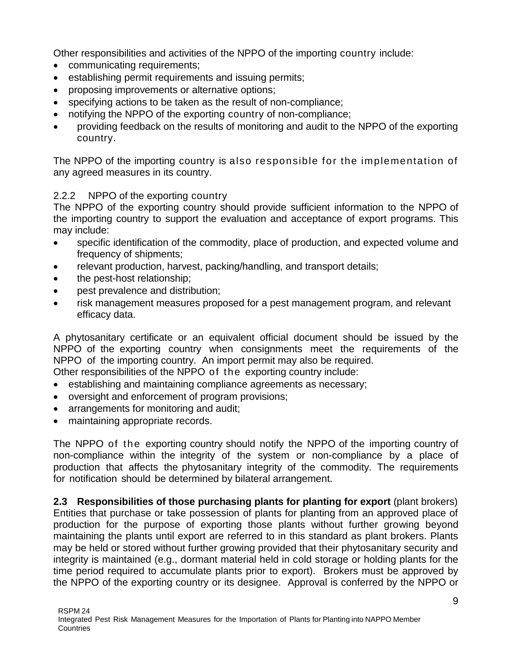Other responsibilities and activities of the NPPO of the importing country include:

- communicating requirements:
- establishing permit requirements and issuing permits;
- proposing improvements or alternative options;
- specifying actions to be taken as the result of non-compliance;
- notifying the NPPO of the exporting country of non-compliance;
- providing feedback on the results of monitoring and audit to the NPPO of the exporting country.

The NPPO of the importing country is also responsible for the implementation of any agreed measures in its country.

### 2.2.2 NPPO of the exporting country

The NPPO of the exporting country should provide sufficient information to the NPPO of the importing country to support the evaluation and acceptance of export programs. This may include:

- specific identification of the commodity, place of production, and expected volume and frequency of shipments;
- relevant production, harvest, packing/handling, and transport details;
- the pest-host relationship;
- pest prevalence and distribution:
- risk management measures proposed for a pest management program, and relevant efficacy data.

A phytosanitary certificate or an equivalent official document should be issued by the NPPO of the exporting country when consignments meet the requirements of the NPPO of the importing country. An import permit may also be required.

Other responsibilities of the NPPO of the exporting country include:

- establishing and maintaining compliance agreements as necessary;
- oversight and enforcement of program provisions;
- arrangements for monitoring and audit;
- maintaining appropriate records.

The NPPO of the exporting country should notify the NPPO of the importing country of non-compliance within the integrity of the system or non-compliance by a place of production that affects the phytosanitary integrity of the commodity. The requirements for notification should be determined by bilateral arrangement.

**2.3 Responsibilities of those purchasing plants for planting for export** (plant brokers) Entities that purchase or take possession of plants for planting from an approved place of production for the purpose of exporting those plants without further growing beyond maintaining the plants until export are referred to in this standard as plant brokers. Plants may be held or stored without further growing provided that their phytosanitary security and integrity is maintained (e.g., dormant material held in cold storage or holding plants for the time period required to accumulate plants prior to export). Brokers must be approved by the NPPO of the exporting country or its designee. Approval is conferred by the NPPO or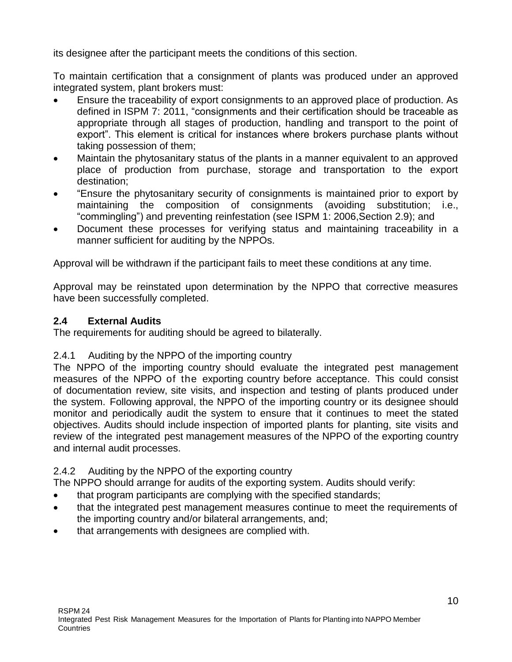its designee after the participant meets the conditions of this section.

To maintain certification that a consignment of plants was produced under an approved integrated system, plant brokers must:

- Ensure the traceability of export consignments to an approved place of production. As defined in ISPM 7: 2011, "consignments and their certification should be traceable as appropriate through all stages of production, handling and transport to the point of export". This element is critical for instances where brokers purchase plants without taking possession of them;
- Maintain the phytosanitary status of the plants in a manner equivalent to an approved place of production from purchase, storage and transportation to the export destination;
- "Ensure the phytosanitary security of consignments is maintained prior to export by maintaining the composition of consignments (avoiding substitution; i.e., "commingling") and preventing reinfestation (see ISPM 1: 2006,Section 2.9); and
- Document these processes for verifying status and maintaining traceability in a manner sufficient for auditing by the NPPOs.

Approval will be withdrawn if the participant fails to meet these conditions at any time.

Approval may be reinstated upon determination by the NPPO that corrective measures have been successfully completed.

### **2.4 External Audits**

The requirements for auditing should be agreed to bilaterally.

#### 2.4.1 Auditing by the NPPO of the importing country

The NPPO of the importing country should evaluate the integrated pest management measures of the NPPO of the exporting country before acceptance. This could consist of documentation review, site visits, and inspection and testing of plants produced under the system. Following approval, the NPPO of the importing country or its designee should monitor and periodically audit the system to ensure that it continues to meet the stated objectives. Audits should include inspection of imported plants for planting, site visits and review of the integrated pest management measures of the NPPO of the exporting country and internal audit processes.

### 2.4.2 Auditing by the NPPO of the exporting country

The NPPO should arrange for audits of the exporting system. Audits should verify:

- that program participants are complying with the specified standards;
- that the integrated pest management measures continue to meet the requirements of the importing country and/or bilateral arrangements, and;
- that arrangements with designees are complied with.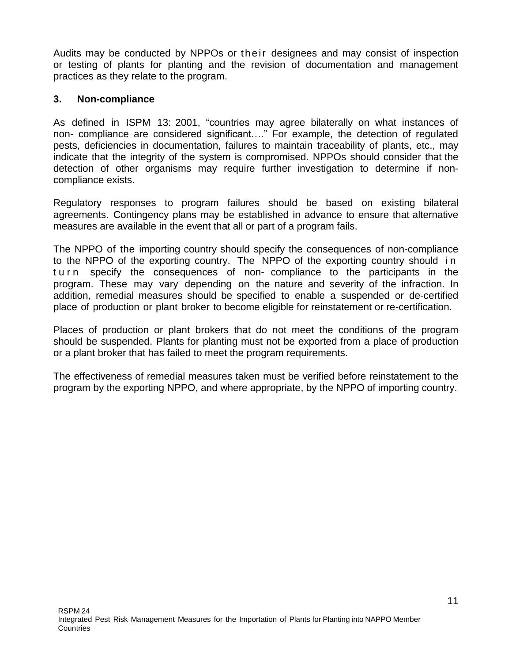Audits may be conducted by NPPOs or their designees and may consist of inspection or testing of plants for planting and the revision of documentation and management practices as they relate to the program.

#### **3. Non-compliance**

As defined in ISPM 13: 2001, "countries may agree bilaterally on what instances of non- compliance are considered significant…." For example, the detection of regulated pests, deficiencies in documentation, failures to maintain traceability of plants, etc., may indicate that the integrity of the system is compromised. NPPOs should consider that the detection of other organisms may require further investigation to determine if noncompliance exists.

Regulatory responses to program failures should be based on existing bilateral agreements. Contingency plans may be established in advance to ensure that alternative measures are available in the event that all or part of a program fails.

The NPPO of the importing country should specify the consequences of non-compliance to the NPPO of the exporting country. The NPPO of the exporting country should i n tu rn specify the consequences of non- compliance to the participants in the program. These may vary depending on the nature and severity of the infraction. In addition, remedial measures should be specified to enable a suspended or de-certified place of production or plant broker to become eligible for reinstatement or re-certification.

Places of production or plant brokers that do not meet the conditions of the program should be suspended. Plants for planting must not be exported from a place of production or a plant broker that has failed to meet the program requirements.

The effectiveness of remedial measures taken must be verified before reinstatement to the program by the exporting NPPO, and where appropriate, by the NPPO of importing country.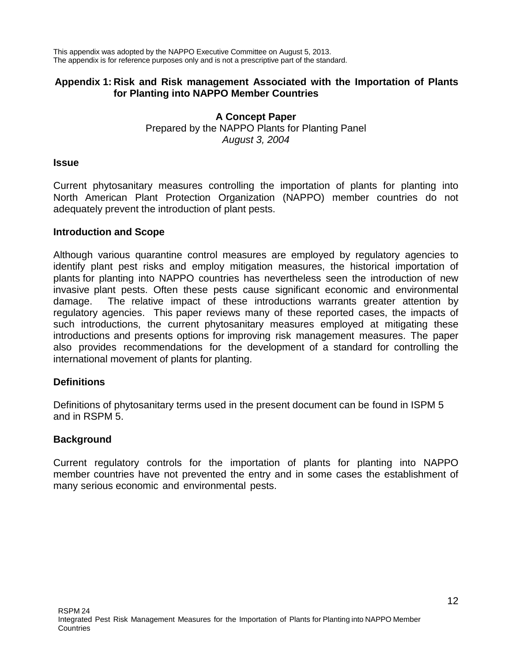This appendix was adopted by the NAPPO Executive Committee on August 5, 2013. The appendix is for reference purposes only and is not a prescriptive part of the standard.

#### **Appendix 1: Risk and Risk management Associated with the Importation of Plants for Planting into NAPPO Member Countries**

#### **A Concept Paper** Prepared by the NAPPO Plants for Planting Panel *August 3, 2004*

#### **Issue**

Current phytosanitary measures controlling the importation of plants for planting into North American Plant Protection Organization (NAPPO) member countries do not adequately prevent the introduction of plant pests.

#### **Introduction and Scope**

Although various quarantine control measures are employed by regulatory agencies to identify plant pest risks and employ mitigation measures, the historical importation of plants for planting into NAPPO countries has nevertheless seen the introduction of new invasive plant pests. Often these pests cause significant economic and environmental damage. The relative impact of these introductions warrants greater attention by regulatory agencies. This paper reviews many of these reported cases, the impacts of such introductions, the current phytosanitary measures employed at mitigating these introductions and presents options for improving risk management measures. The paper also provides recommendations for the development of a standard for controlling the international movement of plants for planting.

#### **Definitions**

Definitions of phytosanitary terms used in the present document can be found in ISPM 5 and in RSPM 5.

#### **Background**

Current regulatory controls for the importation of plants for planting into NAPPO member countries have not prevented the entry and in some cases the establishment of many serious economic and environmental pests.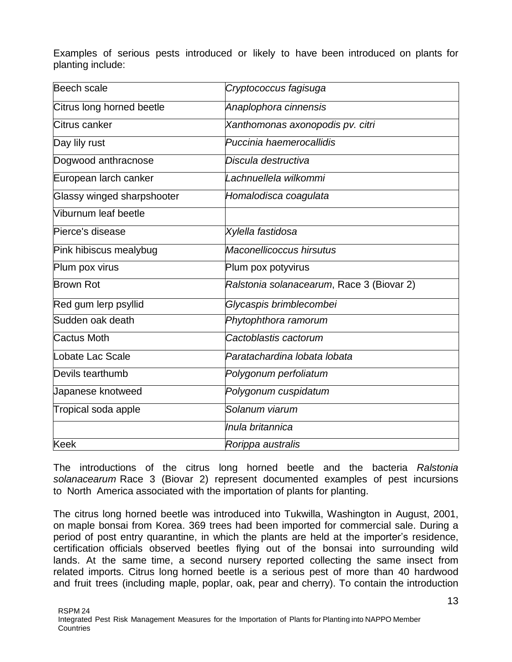Examples of serious pests introduced or likely to have been introduced on plants for planting include:

| Beech scale                | Cryptococcus fagisuga                     |
|----------------------------|-------------------------------------------|
| Citrus long horned beetle  | Anaplophora cinnensis                     |
| Citrus canker              | Xanthomonas axonopodis pv. citri          |
| Day lily rust              | Puccinia haemerocallidis                  |
| Dogwood anthracnose        | Discula destructiva                       |
| European larch canker      | Lachnuellela wilkommi                     |
| Glassy winged sharpshooter | Homalodisca coagulata                     |
| Viburnum leaf beetle       |                                           |
| Pierce's disease           | Xylella fastidosa                         |
| Pink hibiscus mealybug     | Maconellicoccus hirsutus                  |
| Plum pox virus             | Plum pox potyvirus                        |
| <b>Brown Rot</b>           | Ralstonia solanacearum, Race 3 (Biovar 2) |
| Red gum lerp psyllid       | Glycaspis brimblecombei                   |
| Sudden oak death           | Phytophthora ramorum                      |
| Cactus Moth                | Cactoblastis cactorum                     |
| Lobate Lac Scale           | Paratachardina lobata lobata              |
| Devils tearthumb           | Polygonum perfoliatum                     |
| Japanese knotweed          | Polygonum cuspidatum                      |
| Tropical soda apple        | Solanum viarum                            |
|                            | Inula britannica                          |
| <b>Keek</b>                | Rorippa australis                         |

The introductions of the citrus long horned beetle and the bacteria *Ralstonia solanacearum* Race 3 (Biovar 2) represent documented examples of pest incursions to North America associated with the importation of plants for planting.

The citrus long horned beetle was introduced into Tukwilla, Washington in August, 2001, on maple bonsai from Korea. 369 trees had been imported for commercial sale. During a period of post entry quarantine, in which the plants are held at the importer's residence, certification officials observed beetles flying out of the bonsai into surrounding wild lands. At the same time, a second nursery reported collecting the same insect from related imports. Citrus long horned beetle is a serious pest of more than 40 hardwood and fruit trees (including maple, poplar, oak, pear and cherry). To contain the introduction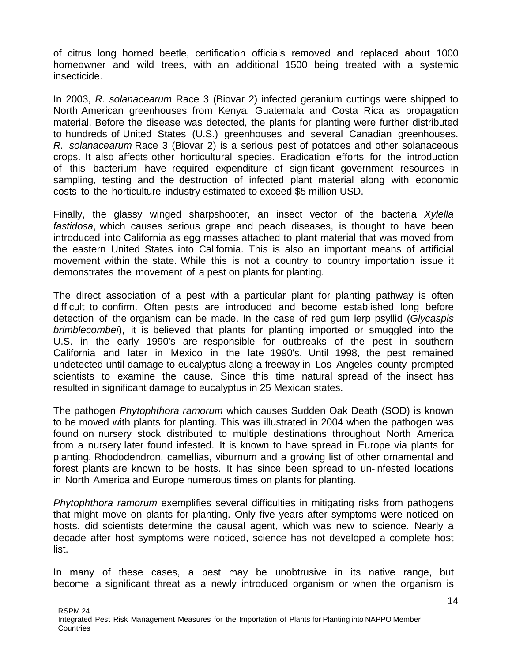of citrus long horned beetle, certification officials removed and replaced about 1000 homeowner and wild trees, with an additional 1500 being treated with a systemic insecticide.

In 2003, *R. solanacearum* Race 3 (Biovar 2) infected geranium cuttings were shipped to North American greenhouses from Kenya, Guatemala and Costa Rica as propagation material. Before the disease was detected, the plants for planting were further distributed to hundreds of United States (U.S.) greenhouses and several Canadian greenhouses. *R. solanacearum* Race 3 (Biovar 2) is a serious pest of potatoes and other solanaceous crops. It also affects other horticultural species. Eradication efforts for the introduction of this bacterium have required expenditure of significant government resources in sampling, testing and the destruction of infected plant material along with economic costs to the horticulture industry estimated to exceed \$5 million USD.

Finally, the glassy winged sharpshooter, an insect vector of the bacteria *Xylella fastidosa*, which causes serious grape and peach diseases, is thought to have been introduced into California as egg masses attached to plant material that was moved from the eastern United States into California. This is also an important means of artificial movement within the state. While this is not a country to country importation issue it demonstrates the movement of a pest on plants for planting.

The direct association of a pest with a particular plant for planting pathway is often difficult to confirm. Often pests are introduced and become established long before detection of the organism can be made. In the case of red gum lerp psyllid (*Glycaspis brimblecombei*), it is believed that plants for planting imported or smuggled into the U.S. in the early 1990's are responsible for outbreaks of the pest in southern California and later in Mexico in the late 1990's. Until 1998, the pest remained undetected until damage to eucalyptus along a freeway in Los Angeles county prompted scientists to examine the cause. Since this time natural spread of the insect has resulted in significant damage to eucalyptus in 25 Mexican states.

The pathogen *Phytophthora ramorum* which causes Sudden Oak Death (SOD) is known to be moved with plants for planting. This was illustrated in 2004 when the pathogen was found on nursery stock distributed to multiple destinations throughout North America from a nursery later found infested. It is known to have spread in Europe via plants for planting. Rhododendron, camellias, viburnum and a growing list of other ornamental and forest plants are known to be hosts. It has since been spread to un-infested locations in North America and Europe numerous times on plants for planting.

*Phytophthora ramorum* exemplifies several difficulties in mitigating risks from pathogens that might move on plants for planting. Only five years after symptoms were noticed on hosts, did scientists determine the causal agent, which was new to science. Nearly a decade after host symptoms were noticed, science has not developed a complete host list.

In many of these cases, a pest may be unobtrusive in its native range, but become a significant threat as a newly introduced organism or when the organism is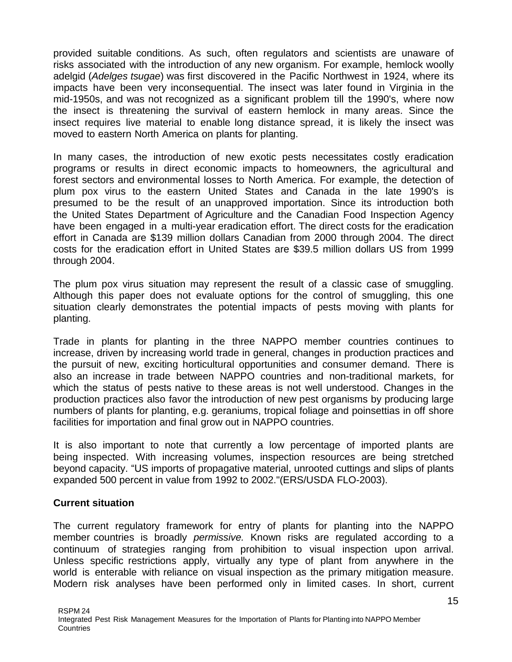provided suitable conditions. As such, often regulators and scientists are unaware of risks associated with the introduction of any new organism. For example, hemlock woolly adelgid (*Adelges tsugae*) was first discovered in the Pacific Northwest in 1924, where its impacts have been very inconsequential. The insect was later found in Virginia in the mid-1950s, and was not recognized as a significant problem till the 1990's, where now the insect is threatening the survival of eastern hemlock in many areas. Since the insect requires live material to enable long distance spread, it is likely the insect was moved to eastern North America on plants for planting.

In many cases, the introduction of new exotic pests necessitates costly eradication programs or results in direct economic impacts to homeowners, the agricultural and forest sectors and environmental losses to North America. For example, the detection of plum pox virus to the eastern United States and Canada in the late 1990's is presumed to be the result of an unapproved importation. Since its introduction both the United States Department of Agriculture and the Canadian Food Inspection Agency have been engaged in a multi-year eradication effort. The direct costs for the eradication effort in Canada are \$139 million dollars Canadian from 2000 through 2004. The direct costs for the eradication effort in United States are \$39.5 million dollars US from 1999 through 2004.

The plum pox virus situation may represent the result of a classic case of smuggling. Although this paper does not evaluate options for the control of smuggling, this one situation clearly demonstrates the potential impacts of pests moving with plants for planting.

Trade in plants for planting in the three NAPPO member countries continues to increase, driven by increasing world trade in general, changes in production practices and the pursuit of new, exciting horticultural opportunities and consumer demand. There is also an increase in trade between NAPPO countries and non-traditional markets, for which the status of pests native to these areas is not well understood. Changes in the production practices also favor the introduction of new pest organisms by producing large numbers of plants for planting, e.g. geraniums, tropical foliage and poinsettias in off shore facilities for importation and final grow out in NAPPO countries.

It is also important to note that currently a low percentage of imported plants are being inspected. With increasing volumes, inspection resources are being stretched beyond capacity. "US imports of propagative material, unrooted cuttings and slips of plants expanded 500 percent in value from 1992 to 2002."(ERS/USDA FLO-2003).

#### **Current situation**

The current regulatory framework for entry of plants for planting into the NAPPO member countries is broadly *permissive.* Known risks are regulated according to a continuum of strategies ranging from prohibition to visual inspection upon arrival. Unless specific restrictions apply, virtually any type of plant from anywhere in the world is enterable with reliance on visual inspection as the primary mitigation measure. Modern risk analyses have been performed only in limited cases. In short, current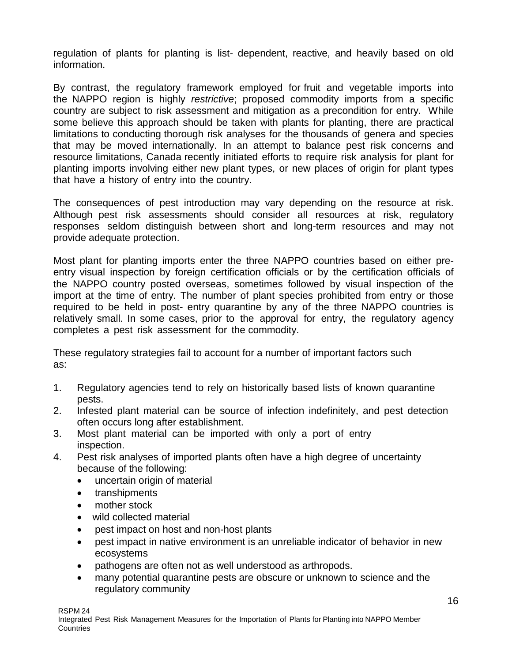regulation of plants for planting is list- dependent, reactive, and heavily based on old information.

By contrast, the regulatory framework employed for fruit and vegetable imports into the NAPPO region is highly *restrictive*; proposed commodity imports from a specific country are subject to risk assessment and mitigation as a precondition for entry. While some believe this approach should be taken with plants for planting, there are practical limitations to conducting thorough risk analyses for the thousands of genera and species that may be moved internationally. In an attempt to balance pest risk concerns and resource limitations, Canada recently initiated efforts to require risk analysis for plant for planting imports involving either new plant types, or new places of origin for plant types that have a history of entry into the country.

The consequences of pest introduction may vary depending on the resource at risk. Although pest risk assessments should consider all resources at risk, regulatory responses seldom distinguish between short and long-term resources and may not provide adequate protection.

Most plant for planting imports enter the three NAPPO countries based on either preentry visual inspection by foreign certification officials or by the certification officials of the NAPPO country posted overseas, sometimes followed by visual inspection of the import at the time of entry. The number of plant species prohibited from entry or those required to be held in post- entry quarantine by any of the three NAPPO countries is relatively small. In some cases, prior to the approval for entry, the regulatory agency completes a pest risk assessment for the commodity.

These regulatory strategies fail to account for a number of important factors such as:

- 1. Regulatory agencies tend to rely on historically based lists of known quarantine pests.
- 2. Infested plant material can be source of infection indefinitely, and pest detection often occurs long after establishment.
- 3. Most plant material can be imported with only a port of entry inspection.
- 4. Pest risk analyses of imported plants often have a high degree of uncertainty because of the following:
	- uncertain origin of material
	- transhipments
	- mother stock
	- wild collected material
	- pest impact on host and non-host plants
	- pest impact in native environment is an unreliable indicator of behavior in new ecosystems
	- pathogens are often not as well understood as arthropods.
	- many potential quarantine pests are obscure or unknown to science and the regulatory community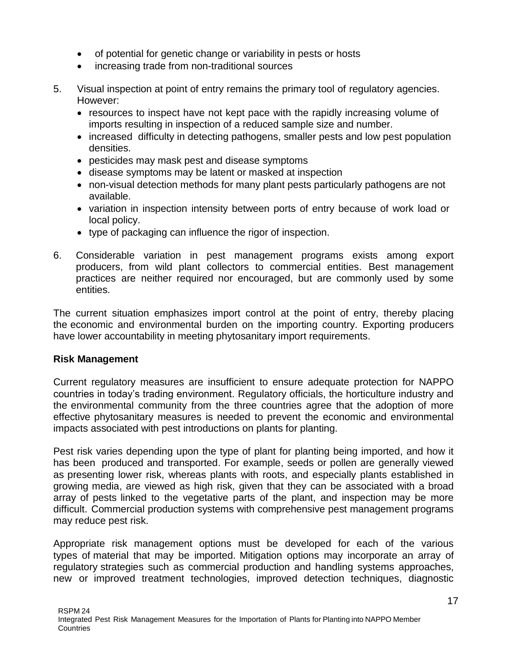- of potential for genetic change or variability in pests or hosts
- increasing trade from non-traditional sources
- 5. Visual inspection at point of entry remains the primary tool of regulatory agencies. However:
	- resources to inspect have not kept pace with the rapidly increasing volume of imports resulting in inspection of a reduced sample size and number.
	- increased difficulty in detecting pathogens, smaller pests and low pest population densities.
	- pesticides may mask pest and disease symptoms
	- disease symptoms may be latent or masked at inspection
	- non-visual detection methods for many plant pests particularly pathogens are not available.
	- variation in inspection intensity between ports of entry because of work load or local policy.
	- type of packaging can influence the rigor of inspection.
- 6. Considerable variation in pest management programs exists among export producers, from wild plant collectors to commercial entities. Best management practices are neither required nor encouraged, but are commonly used by some entities.

The current situation emphasizes import control at the point of entry, thereby placing the economic and environmental burden on the importing country. Exporting producers have lower accountability in meeting phytosanitary import requirements.

### **Risk Management**

Current regulatory measures are insufficient to ensure adequate protection for NAPPO countries in today's trading environment. Regulatory officials, the horticulture industry and the environmental community from the three countries agree that the adoption of more effective phytosanitary measures is needed to prevent the economic and environmental impacts associated with pest introductions on plants for planting.

Pest risk varies depending upon the type of plant for planting being imported, and how it has been produced and transported. For example, seeds or pollen are generally viewed as presenting lower risk, whereas plants with roots, and especially plants established in growing media, are viewed as high risk, given that they can be associated with a broad array of pests linked to the vegetative parts of the plant, and inspection may be more difficult. Commercial production systems with comprehensive pest management programs may reduce pest risk.

Appropriate risk management options must be developed for each of the various types of material that may be imported. Mitigation options may incorporate an array of regulatory strategies such as commercial production and handling systems approaches, new or improved treatment technologies, improved detection techniques, diagnostic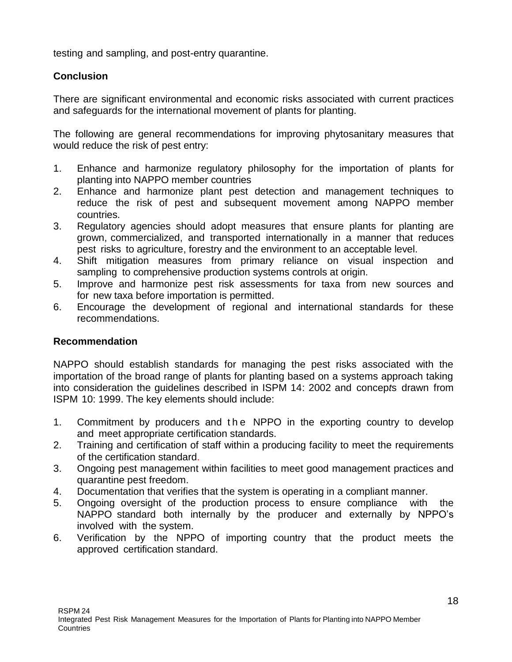testing and sampling, and post-entry quarantine.

### **Conclusion**

There are significant environmental and economic risks associated with current practices and safeguards for the international movement of plants for planting.

The following are general recommendations for improving phytosanitary measures that would reduce the risk of pest entry:

- 1. Enhance and harmonize regulatory philosophy for the importation of plants for planting into NAPPO member countries
- 2. Enhance and harmonize plant pest detection and management techniques to reduce the risk of pest and subsequent movement among NAPPO member countries.
- 3. Regulatory agencies should adopt measures that ensure plants for planting are grown, commercialized, and transported internationally in a manner that reduces pest risks to agriculture, forestry and the environment to an acceptable level.
- 4. Shift mitigation measures from primary reliance on visual inspection and sampling to comprehensive production systems controls at origin.
- 5. Improve and harmonize pest risk assessments for taxa from new sources and for new taxa before importation is permitted.
- 6. Encourage the development of regional and international standards for these recommendations.

### **Recommendation**

NAPPO should establish standards for managing the pest risks associated with the importation of the broad range of plants for planting based on a systems approach taking into consideration the guidelines described in ISPM 14: 2002 and concep*t*s drawn from ISPM 10: 1999. The key elements should include:

- 1. Commitment by producers and the NPPO in the exporting country to develop and meet appropriate certification standards.
- 2. Training and certification of staff within a producing facility to meet the requirements of the certification standard.
- 3. Ongoing pest management within facilities to meet good management practices and quarantine pest freedom.
- 4. Documentation that verifies that the system is operating in a compliant manner.
- 5. Ongoing oversight of the production process to ensure compliance with the NAPPO standard both internally by the producer and externally by NPPO's involved with the system.
- 6. Verification by the NPPO of importing country that the product meets the approved certification standard.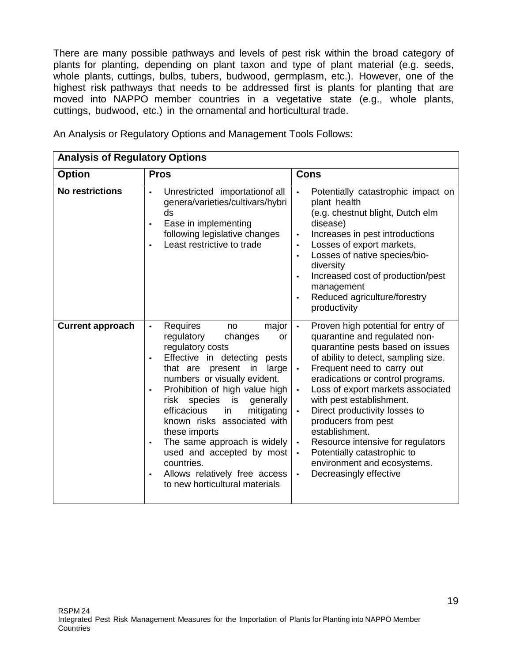There are many possible pathways and levels of pest risk within the broad category of plants for planting, depending on plant taxon and type of plant material (e.g. seeds, whole plants, cuttings, bulbs, tubers, budwood, germplasm, etc.). However, one of the highest risk pathways that needs to be addressed first is plants for planting that are moved into NAPPO member countries in a vegetative state (e.g., whole plants, cuttings, budwood, etc.) in the ornamental and horticultural trade.

| <b>Analysis of Regulatory Options</b> |                                                                                                                                                                                                                                                                                                                                                                                                                                                                                                                                 |                                                                                                                                                                                                                                                                                                                                                                                                                                                                                                                                                             |  |
|---------------------------------------|---------------------------------------------------------------------------------------------------------------------------------------------------------------------------------------------------------------------------------------------------------------------------------------------------------------------------------------------------------------------------------------------------------------------------------------------------------------------------------------------------------------------------------|-------------------------------------------------------------------------------------------------------------------------------------------------------------------------------------------------------------------------------------------------------------------------------------------------------------------------------------------------------------------------------------------------------------------------------------------------------------------------------------------------------------------------------------------------------------|--|
| <b>Option</b>                         | <b>Pros</b>                                                                                                                                                                                                                                                                                                                                                                                                                                                                                                                     | <b>Cons</b>                                                                                                                                                                                                                                                                                                                                                                                                                                                                                                                                                 |  |
| <b>No restrictions</b>                | Unrestricted importationof all<br>$\bullet$<br>genera/varieties/cultivars/hybri<br>ds<br>Ease in implementing<br>$\bullet$<br>following legislative changes<br>Least restrictive to trade                                                                                                                                                                                                                                                                                                                                       | Potentially catastrophic impact on<br>plant health<br>(e.g. chestnut blight, Dutch elm<br>disease)<br>Increases in pest introductions<br>$\bullet$<br>Losses of export markets,<br>$\bullet$<br>Losses of native species/bio-<br>$\bullet$<br>diversity<br>Increased cost of production/pest<br>$\bullet$<br>management<br>Reduced agriculture/forestry<br>$\bullet$<br>productivity                                                                                                                                                                        |  |
| <b>Current approach</b>               | Requires<br>major<br>no<br>$\bullet$<br>regulatory<br>changes<br>or<br>regulatory costs<br>Effective in detecting<br>pests<br>$\bullet$<br>that are<br>present<br>in<br>large<br>numbers or visually evident.<br>Prohibition of high value high<br>risk species<br>is<br>generally<br>efficacious<br>mitigating<br>in<br>known risks associated with<br>these imports<br>The same approach is widely<br>$\bullet$<br>used and accepted by most<br>countries.<br>Allows relatively free access<br>to new horticultural materials | Proven high potential for entry of<br>$\bullet$<br>quarantine and regulated non-<br>quarantine pests based on issues<br>of ability to detect, sampling size.<br>Frequent need to carry out<br>$\bullet$<br>eradications or control programs.<br>Loss of export markets associated<br>with pest establishment.<br>Direct productivity losses to<br>producers from pest<br>establishment.<br>Resource intensive for regulators<br>$\bullet$<br>Potentially catastrophic to<br>$\bullet$<br>environment and ecosystems.<br>Decreasingly effective<br>$\bullet$ |  |

An Analysis or Regulatory Options and Management Tools Follows: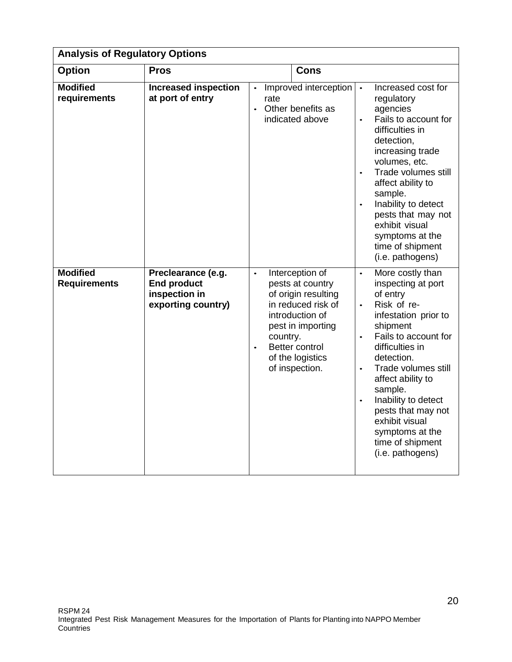| <b>Analysis of Regulatory Options</b>  |                                                                                 |                                                                                                                                                                                                                        |                                                                                                                                                                                                                                                                                                                                                                                                                  |
|----------------------------------------|---------------------------------------------------------------------------------|------------------------------------------------------------------------------------------------------------------------------------------------------------------------------------------------------------------------|------------------------------------------------------------------------------------------------------------------------------------------------------------------------------------------------------------------------------------------------------------------------------------------------------------------------------------------------------------------------------------------------------------------|
| <b>Option</b>                          | <b>Pros</b>                                                                     | Cons                                                                                                                                                                                                                   |                                                                                                                                                                                                                                                                                                                                                                                                                  |
| <b>Modified</b><br>requirements        | <b>Increased inspection</b><br>at port of entry                                 | Improved interception<br>$\bullet$<br>rate<br>Other benefits as<br>indicated above                                                                                                                                     | Increased cost for<br>$\bullet$<br>regulatory<br>agencies<br>Fails to account for<br>$\bullet$<br>difficulties in<br>detection,<br>increasing trade<br>volumes, etc.<br>Trade volumes still<br>affect ability to<br>sample.<br>Inability to detect<br>$\bullet$<br>pests that may not<br>exhibit visual<br>symptoms at the<br>time of shipment<br>(i.e. pathogens)                                               |
| <b>Modified</b><br><b>Requirements</b> | Preclearance (e.g.<br><b>End product</b><br>inspection in<br>exporting country) | Interception of<br>$\bullet$<br>pests at country<br>of origin resulting<br>in reduced risk of<br>introduction of<br>pest in importing<br>country.<br>Better control<br>$\bullet$<br>of the logistics<br>of inspection. | More costly than<br>$\bullet$<br>inspecting at port<br>of entry<br>Risk of re-<br>$\bullet$<br>infestation prior to<br>shipment<br>Fails to account for<br>$\bullet$<br>difficulties in<br>detection.<br>Trade volumes still<br>$\bullet$<br>affect ability to<br>sample.<br>Inability to detect<br>$\bullet$<br>pests that may not<br>exhibit visual<br>symptoms at the<br>time of shipment<br>(i.e. pathogens) |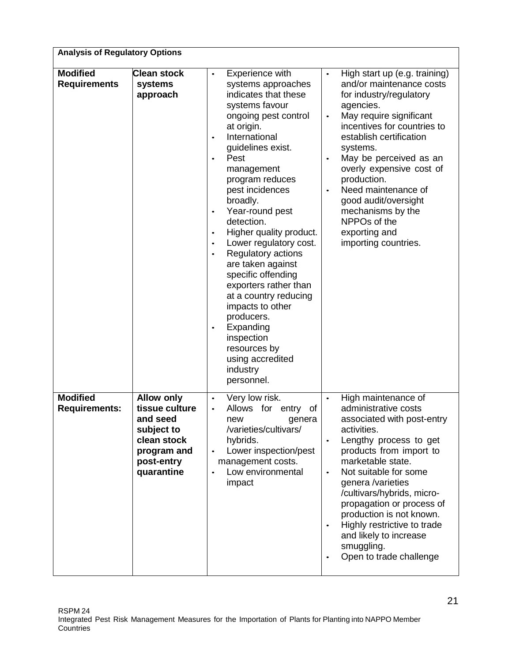| <b>Analysis of Regulatory Options</b>   |                                                                                                                         |                                                                                                                                                                                                                                                                                                                                                                                                                                                                                                                                                                                                                                                       |                                                                                                                                                                                                                                                                                                                                                                                                                                                               |  |  |
|-----------------------------------------|-------------------------------------------------------------------------------------------------------------------------|-------------------------------------------------------------------------------------------------------------------------------------------------------------------------------------------------------------------------------------------------------------------------------------------------------------------------------------------------------------------------------------------------------------------------------------------------------------------------------------------------------------------------------------------------------------------------------------------------------------------------------------------------------|---------------------------------------------------------------------------------------------------------------------------------------------------------------------------------------------------------------------------------------------------------------------------------------------------------------------------------------------------------------------------------------------------------------------------------------------------------------|--|--|
| <b>Modified</b><br><b>Requirements</b>  | <b>Clean stock</b><br>systems<br>approach                                                                               | Experience with<br>$\bullet$<br>systems approaches<br>indicates that these<br>systems favour<br>ongoing pest control<br>at origin.<br>International<br>$\bullet$<br>guidelines exist.<br>Pest<br>$\bullet$<br>management<br>program reduces<br>pest incidences<br>broadly.<br>Year-round pest<br>$\bullet$<br>detection.<br>Higher quality product.<br>Lower regulatory cost.<br>$\bullet$<br>Regulatory actions<br>are taken against<br>specific offending<br>exporters rather than<br>at a country reducing<br>impacts to other<br>producers.<br>Expanding<br>$\bullet$<br>inspection<br>resources by<br>using accredited<br>industry<br>personnel. | High start up (e.g. training)<br>$\bullet$<br>and/or maintenance costs<br>for industry/regulatory<br>agencies.<br>May require significant<br>$\bullet$<br>incentives for countries to<br>establish certification<br>systems.<br>May be perceived as an<br>overly expensive cost of<br>production.<br>Need maintenance of<br>$\bullet$<br>good audit/oversight<br>mechanisms by the<br>NPPOs of the<br>exporting and<br>importing countries.                   |  |  |
| <b>Modified</b><br><b>Requirements:</b> | <b>Allow only</b><br>tissue culture<br>and seed<br>subject to<br>clean stock<br>program and<br>post-entry<br>quarantine | Very low risk.<br>$\bullet$<br>Allows<br>for entry<br>of<br>new<br>genera<br>/varieties/cultivars/<br>hybrids.<br>Lower inspection/pest<br>$\bullet$<br>management costs.<br>Low environmental<br>impact                                                                                                                                                                                                                                                                                                                                                                                                                                              | High maintenance of<br>$\bullet$<br>administrative costs<br>associated with post-entry<br>activities.<br>Lengthy process to get<br>$\bullet$<br>products from import to<br>marketable state.<br>Not suitable for some<br>$\bullet$<br>genera /varieties<br>/cultivars/hybrids, micro-<br>propagation or process of<br>production is not known.<br>Highly restrictive to trade<br>$\bullet$<br>and likely to increase<br>smuggling.<br>Open to trade challenge |  |  |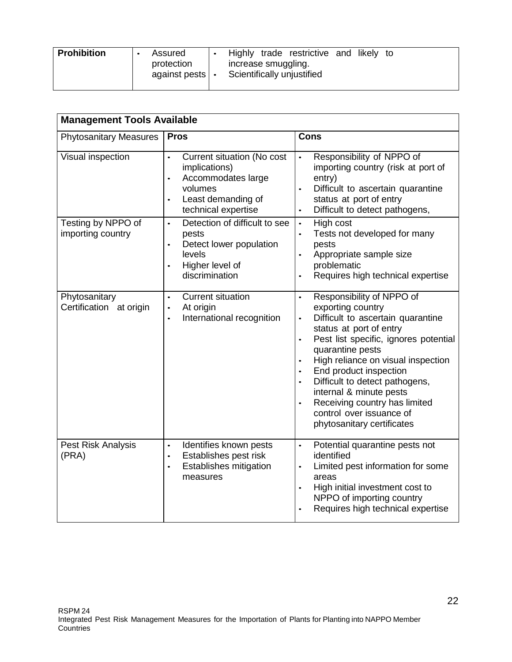|  | <b>Prohibition</b><br>Highly trade restrictive and likely to<br>Assured<br>protection<br>increase smuggling.<br>Scientifically unjustified<br>against pests $ \cdot $ |
|--|-----------------------------------------------------------------------------------------------------------------------------------------------------------------------|
|--|-----------------------------------------------------------------------------------------------------------------------------------------------------------------------|

| <b>Management Tools Available</b>        |                                                                                                                                                         |                                                                                                                                                                                                                                                                                                                                                                                                                                                                                                |  |  |
|------------------------------------------|---------------------------------------------------------------------------------------------------------------------------------------------------------|------------------------------------------------------------------------------------------------------------------------------------------------------------------------------------------------------------------------------------------------------------------------------------------------------------------------------------------------------------------------------------------------------------------------------------------------------------------------------------------------|--|--|
| <b>Phytosanitary Measures</b>            | <b>Pros</b>                                                                                                                                             | <b>Cons</b>                                                                                                                                                                                                                                                                                                                                                                                                                                                                                    |  |  |
| Visual inspection                        | Current situation (No cost<br>$\bullet$<br>implications)<br>Accommodates large<br>$\bullet$<br>volumes<br>Least demanding of<br>technical expertise     | Responsibility of NPPO of<br>importing country (risk at port of<br>entry)<br>Difficult to ascertain quarantine<br>status at port of entry<br>Difficult to detect pathogens,                                                                                                                                                                                                                                                                                                                    |  |  |
| Testing by NPPO of<br>importing country  | Detection of difficult to see<br>$\bullet$<br>pests<br>Detect lower population<br>$\bullet$<br>levels<br>Higher level of<br>$\bullet$<br>discrimination | High cost<br>$\bullet$<br>Tests not developed for many<br>pests<br>Appropriate sample size<br>problematic<br>Requires high technical expertise                                                                                                                                                                                                                                                                                                                                                 |  |  |
| Phytosanitary<br>Certification at origin | <b>Current situation</b><br>$\bullet$<br>At origin<br>$\bullet$<br>International recognition<br>$\bullet$                                               | Responsibility of NPPO of<br>$\bullet$<br>exporting country<br>Difficult to ascertain quarantine<br>$\bullet$<br>status at port of entry<br>Pest list specific, ignores potential<br>$\bullet$<br>quarantine pests<br>High reliance on visual inspection<br>$\bullet$<br>End product inspection<br>$\bullet$<br>Difficult to detect pathogens,<br>$\bullet$<br>internal & minute pests<br>Receiving country has limited<br>$\bullet$<br>control over issuance of<br>phytosanitary certificates |  |  |
| Pest Risk Analysis<br>(PRA)              | Identifies known pests<br>$\bullet$<br>Establishes pest risk<br>$\bullet$<br>Establishes mitigation<br>$\bullet$<br>measures                            | Potential quarantine pests not<br>$\bullet$<br>identified<br>Limited pest information for some<br>areas<br>High initial investment cost to<br>$\bullet$<br>NPPO of importing country<br>Requires high technical expertise<br>$\bullet$                                                                                                                                                                                                                                                         |  |  |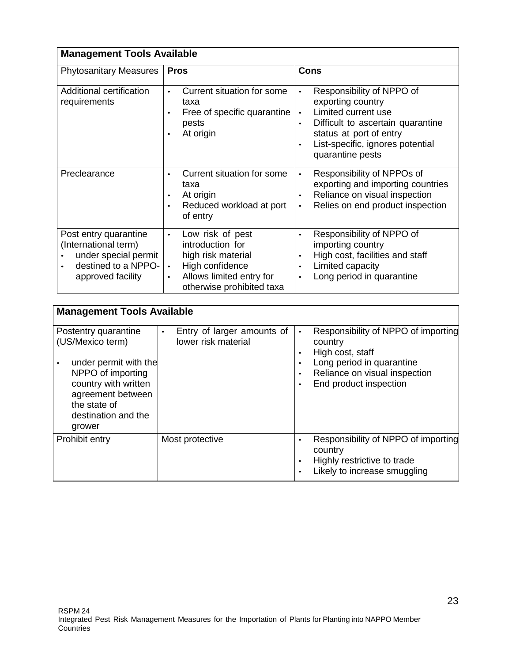| <b>Management Tools Available</b>                                                                                 |                                                                                                                                                                               |                                                                                                                                                                                                            |  |
|-------------------------------------------------------------------------------------------------------------------|-------------------------------------------------------------------------------------------------------------------------------------------------------------------------------|------------------------------------------------------------------------------------------------------------------------------------------------------------------------------------------------------------|--|
| <b>Phytosanitary Measures</b>                                                                                     | <b>Pros</b>                                                                                                                                                                   | <b>Cons</b>                                                                                                                                                                                                |  |
| Additional certification<br>requirements                                                                          | Current situation for some<br>$\bullet$<br>taxa<br>Free of specific quarantine<br>$\bullet$<br>pests<br>At origin<br>$\bullet$                                                | Responsibility of NPPO of<br>exporting country<br>Limited current use<br>$\bullet$<br>Difficult to ascertain quarantine<br>status at port of entry<br>List-specific, ignores potential<br>quarantine pests |  |
| Preclearance                                                                                                      | Current situation for some<br>$\bullet$<br>taxa<br>At origin<br>$\bullet$<br>Reduced workload at port<br>$\bullet$<br>of entry                                                | Responsibility of NPPOs of<br>exporting and importing countries<br>Reliance on visual inspection<br>Relies on end product inspection<br>$\bullet$                                                          |  |
| Post entry quarantine<br>(International term)<br>under special permit<br>destined to a NPPO-<br>approved facility | Low risk of pest<br>$\bullet$<br>introduction for<br>high risk material<br>High confidence<br>$\bullet$<br>Allows limited entry for<br>$\bullet$<br>otherwise prohibited taxa | Responsibility of NPPO of<br>$\bullet$<br>importing country<br>High cost, facilities and staff<br>$\bullet$<br>Limited capacity<br>Long period in quarantine                                               |  |

| <b>Management Tools Available</b>                                                                                                                                                    |                                                                |                                                                                                                                                                                                                     |  |  |
|--------------------------------------------------------------------------------------------------------------------------------------------------------------------------------------|----------------------------------------------------------------|---------------------------------------------------------------------------------------------------------------------------------------------------------------------------------------------------------------------|--|--|
| Postentry quarantine<br>(US/Mexico term)<br>under permit with the<br>NPPO of importing<br>country with written<br>agreement between<br>the state of<br>destination and the<br>grower | Entry of larger amounts of<br>$\bullet$<br>lower risk material | Responsibility of NPPO of importing<br>$\bullet$<br>country<br>High cost, staff<br>$\bullet$<br>Long period in quarantine<br>$\bullet$<br>Reliance on visual inspection<br>$\bullet$<br>End product inspection<br>٠ |  |  |
| Prohibit entry                                                                                                                                                                       | Most protective                                                | Responsibility of NPPO of importing<br>$\bullet$<br>country<br>Highly restrictive to trade<br>$\bullet$<br>Likely to increase smuggling<br>٠                                                                        |  |  |